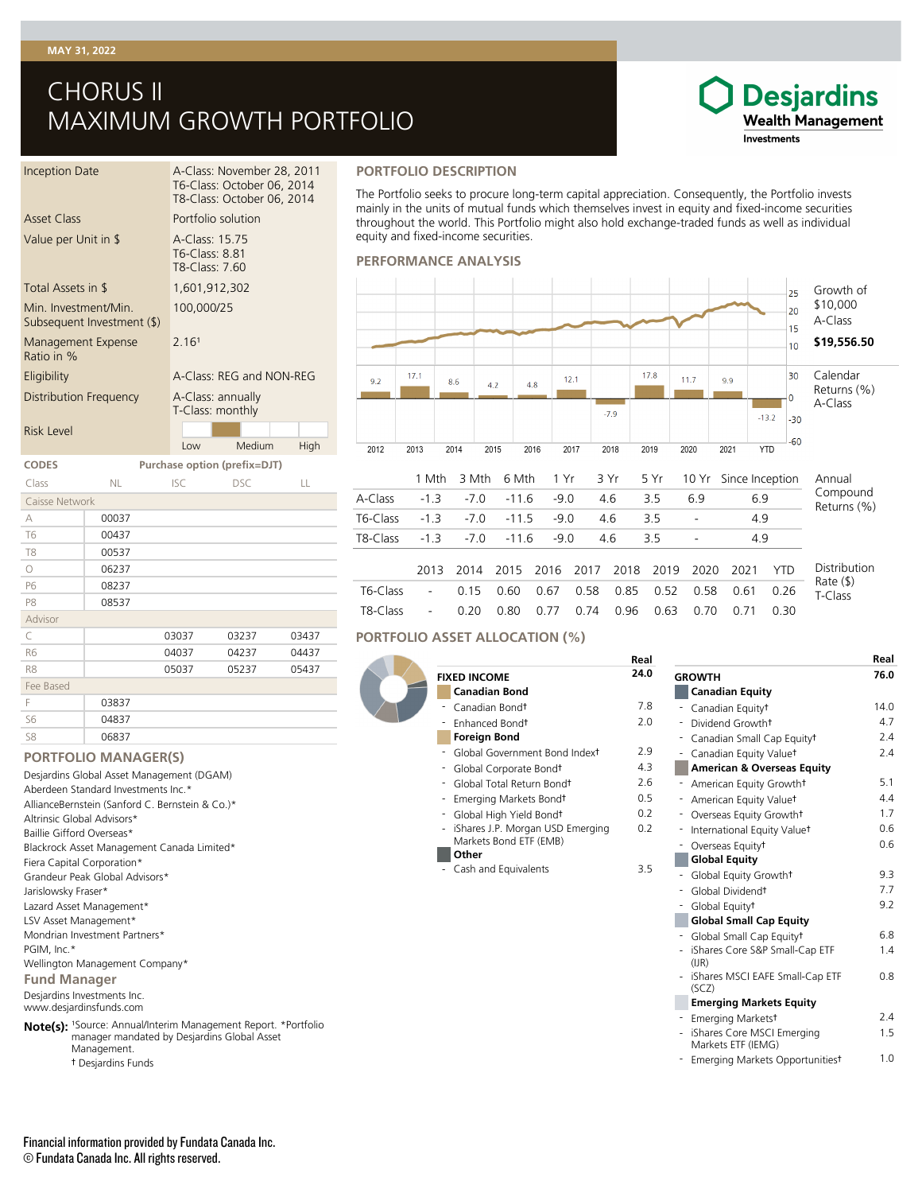#### **MAY 31, 2022**

# CHORUS II MAXIMUM GROWTH PORTFOLIO

### **Desjardins Wealth Management** Investments

| Inception Date                                   |           |                                                    | A-Class: November 28, 2011<br>T6-Class: October 06, 2014<br>T8-Class: October 06, 2014 |      |
|--------------------------------------------------|-----------|----------------------------------------------------|----------------------------------------------------------------------------------------|------|
| <b>Asset Class</b>                               |           | Portfolio solution                                 |                                                                                        |      |
| Value per Unit in \$                             |           | A-Class: 15.75<br>T6-Class: 8.81<br>T8-Class: 7.60 |                                                                                        |      |
| Total Assets in \$                               |           | 1,601,912,302                                      |                                                                                        |      |
| Min Investment/Min<br>Subsequent Investment (\$) |           | 100,000/25                                         |                                                                                        |      |
| Management Expense<br>Ratio in %                 |           | 2 161                                              |                                                                                        |      |
| Eligibility                                      |           |                                                    | A-Class: REG and NON-REG                                                               |      |
| Distribution Frequency                           |           | A-Class: annually<br>T-Class: monthly              |                                                                                        |      |
| <b>Risk Level</b>                                |           |                                                    |                                                                                        |      |
|                                                  |           | Low                                                | Medium                                                                                 | High |
| <b>CODES</b>                                     |           |                                                    | Purchase option (prefix=DJT)                                                           |      |
| Class                                            | <b>NL</b> | <b>ISC</b>                                         | DSC.                                                                                   | LL   |
| Caisse Network                                   |           |                                                    |                                                                                        |      |

| Caisse Network |       |       |       |       |
|----------------|-------|-------|-------|-------|
| А              | 00037 |       |       |       |
| T <sub>6</sub> | 00437 |       |       |       |
| T <sub>8</sub> | 00537 |       |       |       |
| $\circ$        | 06237 |       |       |       |
| P6             | 08237 |       |       |       |
| P <sub>8</sub> | 08537 |       |       |       |
| Advisor        |       |       |       |       |
| C              |       | 03037 | 03237 | 03437 |
| R <sub>6</sub> |       | 04037 | 04237 | 04437 |
| R8             |       | 05037 | 05237 | 05437 |
| Fee Based      |       |       |       |       |
| F              | 03837 |       |       |       |
| S <sub>6</sub> | 04837 |       |       |       |
| S8             | 06837 |       |       |       |

#### **PORTFOLIO MANAGER(S)**

Desjardins Investments Inc. www.desjardinsfunds.com **Fund Manager** Desjardins Global Asset Management (DGAM) Aberdeen Standard Investments Inc.\* AllianceBernstein (Sanford C. Bernstein & Co.)\* Altrinsic Global Advisors\* Baillie Gifford Overseas\* Blackrock Asset Management Canada Limited\* Fiera Capital Corporation\* Grandeur Peak Global Advisors\* Jarislowsky Fraser\* Lazard Asset Management\* LSV Asset Management\* Mondrian Investment Partners\* PGIM, Inc.\* Wellington Management Company\*

**Note(s):** <sup>1</sup>Source: Annual/Interim Management Report. \*Portfolio manager mandated by Desjardins Global Asset Management.

† Desjardins Funds

#### **PORTFOLIO DESCRIPTION**

The Portfolio seeks to procure long-term capital appreciation. Consequently, the Portfolio invests mainly in the units of mutual funds which themselves invest in equity and fixed-income securities throughout the world. This Portfolio might also hold exchange-traded funds as well as individual equity and fixed-income securities.

#### **PERFORMANCE ANALYSIS**



### **PORTFOLIO ASSET ALLOCATION (%)**

|                                                        | Real |                                                    | Real |
|--------------------------------------------------------|------|----------------------------------------------------|------|
| <b>FIXED INCOME</b>                                    | 24.0 | <b>GROWTH</b>                                      | 76.0 |
| <b>Canadian Bond</b>                                   |      | <b>Canadian Equity</b>                             |      |
| Canadian Bond <sup>+</sup><br>$\overline{\phantom{a}}$ | 7.8  | - Canadian Equity <sup>†</sup>                     | 14.0 |
| Enhanced Bondt                                         | 2.0  | Dividend Growtht                                   | 4.7  |
| <b>Foreign Bond</b>                                    |      | Canadian Small Cap Equity <sup>†</sup>             | 2.4  |
| - Global Government Bond Indext                        | 2.9  | - Canadian Equity Valuet                           | 2.4  |
| - Global Corporate Bondt                               | 4.3  | <b>American &amp; Overseas Equity</b>              |      |
| Global Total Return Bond <sup>†</sup>                  | 2.6  | - American Equity Growtht                          | 5.1  |
| Emerging Markets Bondt                                 | 0.5  | - American Equity Valuet                           | 4.4  |
| Global High Yield Bondt                                | 0.2  | Overseas Equity Growth <sup>+</sup><br>٠           | 1.7  |
| iShares J.P. Morgan USD Emerging                       | 0.2  | - International Equity Valuet                      | 0.6  |
| Markets Bond ETF (EMB)                                 |      | Overseas Equity <sup>+</sup>                       | 0.6  |
| Other                                                  |      | <b>Global Equity</b>                               |      |
| - Cash and Equivalents                                 | 3.5  | Global Equity Growth+                              | 9.3  |
|                                                        |      | - Global Dividendt                                 | 7.7  |
|                                                        |      | Global Equity <sup>†</sup>                         | 9.2  |
|                                                        |      | <b>Global Small Cap Equity</b>                     |      |
|                                                        |      | Global Small Cap Equity <sup>†</sup>               | 6.8  |
|                                                        |      | - iShares Core S&P Small-Cap ETF<br>(IIR)          | 1.4  |
|                                                        |      | - iShares MSCI EAFE Small-Cap ETF<br>(SCZ)         | 0.8  |
|                                                        |      | <b>Emerging Markets Equity</b>                     |      |
|                                                        |      | Emerging Markets <sup>+</sup>                      | 2.4  |
|                                                        |      | - iShares Core MSCI Emerging<br>Markets ETF (IEMG) | 1.5  |
|                                                        |      | - Emerging Markets Opportunitiest                  | 1.0  |